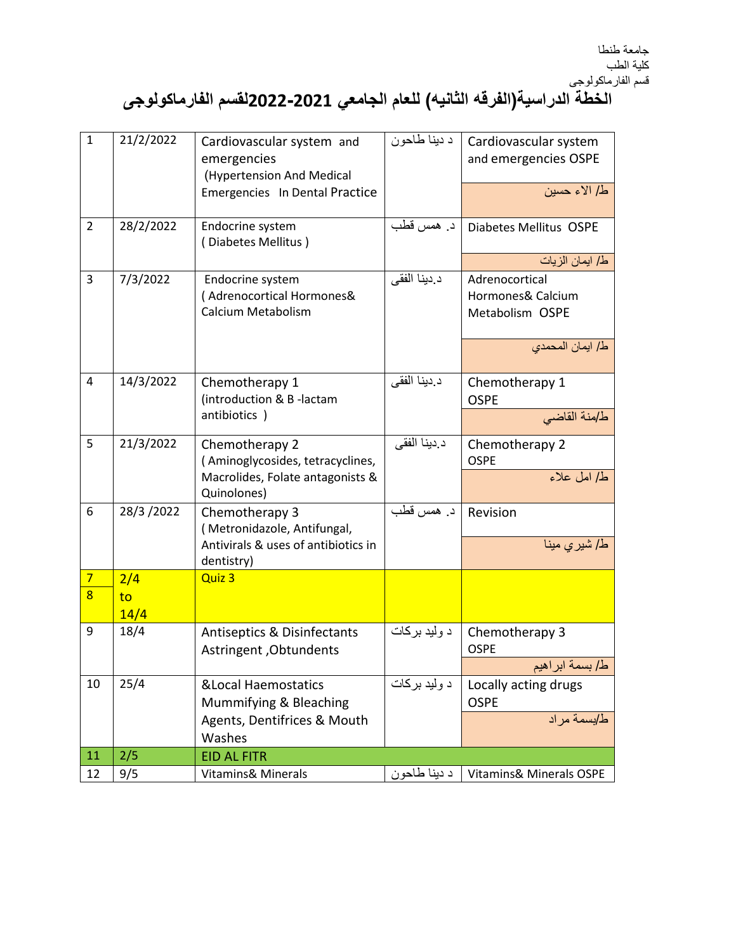## **الخطة الدراسية)الفرقه الثانيه( للعام الجامعي 0200-0202لقسم الفارماكولوجى**

| $\mathbf 1$    | 21/2/2022 | Cardiovascular system and<br>emergencies<br>(Hypertension And Medical | د دينا طاحون | Cardiovascular system<br>and emergencies OSPE          |
|----------------|-----------|-----------------------------------------------------------------------|--------------|--------------------------------------------------------|
|                |           | Emergencies In Dental Practice                                        |              | ط/ الاء حسين                                           |
| $\overline{2}$ | 28/2/2022 | Endocrine system<br>(Diabetes Mellitus)                               | د. همس قطب   | Diabetes Mellitus OSPE                                 |
|                |           |                                                                       |              | ط/ ايمان الزيات                                        |
| 3              | 7/3/2022  | Endocrine system<br>(Adrenocortical Hormones&<br>Calcium Metabolism   | د دينا الفقي | Adrenocortical<br>Hormones& Calcium<br>Metabolism OSPE |
|                |           |                                                                       |              | ط/ ايمان المحمدي                                       |
| $\overline{4}$ | 14/3/2022 | Chemotherapy 1<br>(introduction & B-lactam                            | د دينا الفقي | Chemotherapy 1<br><b>OSPE</b>                          |
|                |           | antibiotics)                                                          |              | ط/منة القاضي                                           |
| 5              | 21/3/2022 | Chemotherapy 2<br>(Aminoglycosides, tetracyclines,                    | د دينا الفقي | Chemotherapy 2<br><b>OSPE</b>                          |
|                |           | Macrolides, Folate antagonists &<br>Quinolones)                       |              | ط/ امل علاء                                            |
| 6              | 28/3/2022 | Chemotherapy 3<br>(Metronidazole, Antifungal,                         | د. همس قطب   | Revision                                               |
|                |           | Antivirals & uses of antibiotics in<br>dentistry)                     |              | ط/ شير ي مينا                                          |
| $\overline{7}$ | 2/4       | Quiz 3                                                                |              |                                                        |
| $\overline{8}$ | to        |                                                                       |              |                                                        |
|                | 14/4      |                                                                       |              |                                                        |
| 9              | 18/4      | Antiseptics & Disinfectants<br>Astringent, Obtundents                 | د وليد بركات | Chemotherapy 3<br><b>OSPE</b>                          |
|                |           |                                                                       |              | ط/ بسمة ابراهيم                                        |
| 10             | 25/4      | <b>&amp;Local Haemostatics</b><br>Mummifying & Bleaching              | د وليد بركات | Locally acting drugs<br><b>OSPE</b>                    |
|                |           | Agents, Dentifrices & Mouth<br>Washes                                 |              | ط/بسمة مراد                                            |
| 11             | 2/5       | <b>EID AL FITR</b>                                                    |              |                                                        |
| 12             | 9/5       | Vitamins& Minerals                                                    | د دينا طاحون | Vitamins& Minerals OSPE                                |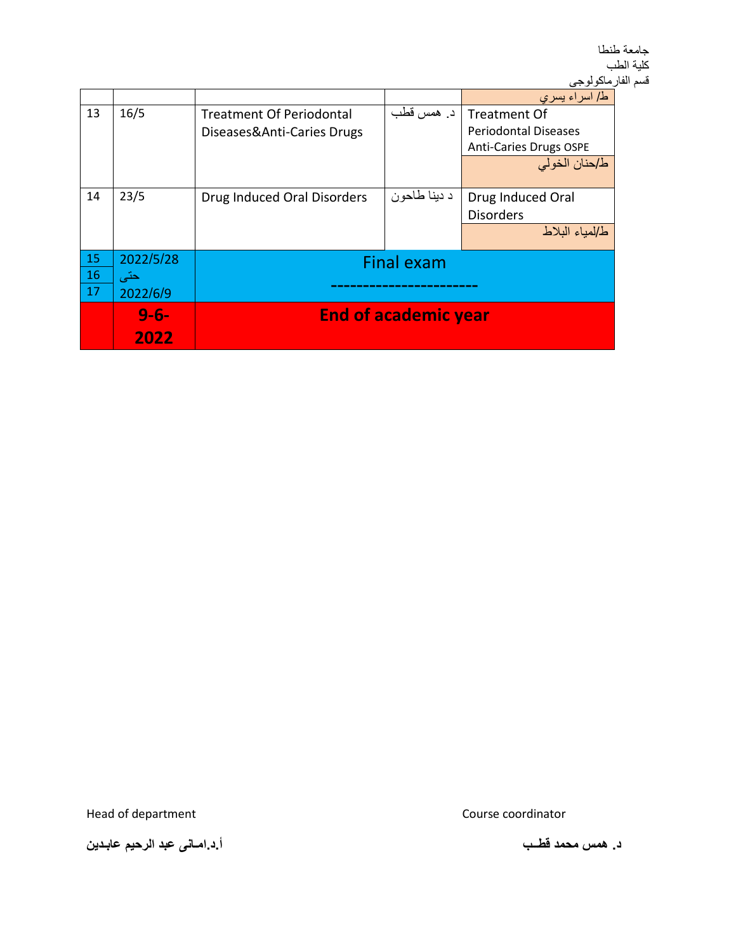|    |           |                                 |              | ط/ اسراء يسري                 |
|----|-----------|---------------------------------|--------------|-------------------------------|
| 13 | 16/5      | <b>Treatment Of Periodontal</b> | د. همس قطب   | Treatment Of                  |
|    |           | Diseases&Anti-Caries Drugs      |              | <b>Periodontal Diseases</b>   |
|    |           |                                 |              | <b>Anti-Caries Drugs OSPE</b> |
|    |           |                                 |              | ط/حنان الخولي                 |
|    |           |                                 |              |                               |
| 14 | 23/5      | Drug Induced Oral Disorders     | د دينا طاحون | Drug Induced Oral             |
|    |           |                                 |              | <b>Disorders</b>              |
|    |           |                                 |              | ط لمباء البلاط                |
|    |           |                                 |              |                               |
| 15 | 2022/5/28 | <b>Final exam</b>               |              |                               |
| 16 | حتى       |                                 |              |                               |
| 17 | 2022/6/9  |                                 |              |                               |
|    | $9 - 6 -$ | <b>End of academic year</b>     |              |                               |
|    | 2022      |                                 |              |                               |

Head of department **Course Course coordinator** 

**د. همس محمد قطــب أ.د.امـانى عبد الرحيم عابـدين**